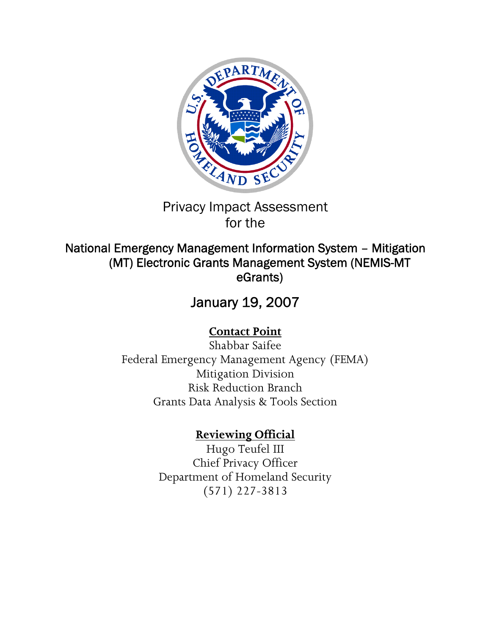

## Privacy Impact Assessment for the

## National Emergency Management Information System – Mitigation (MT) Electronic Grants Management System (NEMIS-MT eGrants)

# January 19, 2007

# **Contact Point**

Shabbar Saifee Federal Emergency Management Agency (FEMA) Mitigation Division Risk Reduction Branch Grants Data Analysis & Tools Section

# **Reviewing Official**

Hugo Teufel III Chief Privacy Officer Department of Homeland Security (571) 227-3813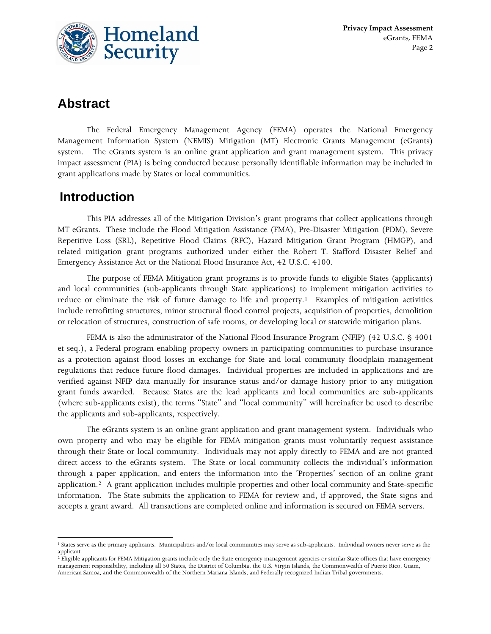

## **Abstract**

 The Federal Emergency Management Agency (FEMA) operates the National Emergency Management Information System (NEMIS) Mitigation (MT) Electronic Grants Management (eGrants) system. The eGrants system is an online grant application and grant management system. This privacy impact assessment (PIA) is being conducted because personally identifiable information may be included in grant applications made by States or local communities.

## **Introduction**

 This PIA addresses all of the Mitigation Division's grant programs that collect applications through MT eGrants. These include the Flood Mitigation Assistance (FMA), Pre-Disaster Mitigation (PDM), Severe Repetitive Loss (SRL), Repetitive Flood Claims (RFC), Hazard Mitigation Grant Program (HMGP), and related mitigation grant programs authorized under either the Robert T. Stafford Disaster Relief and Emergency Assistance Act or the National Flood Insurance Act, 42 U.S.C. 4100.

 The purpose of FEMA Mitigation grant programs is to provide funds to eligible States (applicants) and local communities (sub-applicants through State applications) to implement mitigation activities to reduce or eliminate the risk of future damage to life and property.<sup>[1](#page-1-0)</sup> Examples of mitigation activities include retrofitting structures, minor structural flood control projects, acquisition of properties, demolition or relocation of structures, construction of safe rooms, or developing local or statewide mitigation plans.

 FEMA is also the administrator of the National Flood Insurance Program (NFIP) (42 U.S.C. § 4001 et seq.), a Federal program enabling property owners in participating communities to purchase insurance as a protection against flood losses in exchange for State and local community floodplain management regulations that reduce future flood damages. Individual properties are included in applications and are verified against NFIP data manually for insurance status and/or damage history prior to any mitigation grant funds awarded. Because States are the lead applicants and local communities are sub-applicants (where sub-applicants exist), the terms "State" and "local community" will hereinafter be used to describe the applicants and sub-applicants, respectively.

 The eGrants system is an online grant application and grant management system. Individuals who own property and who may be eligible for FEMA mitigation grants must voluntarily request assistance through their State or local community. Individuals may not apply directly to FEMA and are not granted direct access to the eGrants system. The State or local community collects the individual's information through a paper application, and enters the information into the 'Properties' section of an online grant application.[2](#page-1-1) A grant application includes multiple properties and other local community and State-specific information. The State submits the application to FEMA for review and, if approved, the State signs and accepts a grant award. All transactions are completed online and information is secured on FEMA servers.

<span id="page-1-0"></span> $\overline{a}$ <sup>1</sup> States serve as the primary applicants. Municipalities and/or local communities may serve as sub-applicants. Individual owners never serve as the applicant.

<span id="page-1-1"></span><sup>&</sup>lt;sup>2</sup> Eligible applicants for FEMA Mitigation grants include only the State emergency management agencies or similar State offices that have emergency management responsibility, including all 50 States, the District of Columbia, the U.S. Virgin Islands, the Commonwealth of Puerto Rico, Guam, American Samoa, and the Commonwealth of the Northern Mariana Islands, and Federally recognized Indian Tribal governments.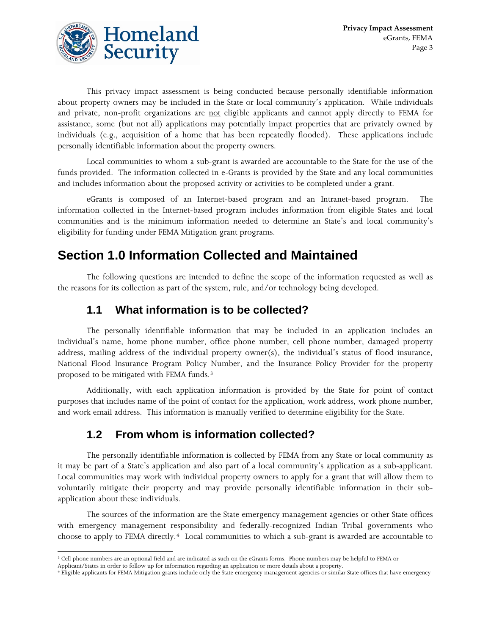

 This privacy impact assessment is being conducted because personally identifiable information about property owners may be included in the State or local community's application. While individuals and private, non-profit organizations are not eligible applicants and cannot apply directly to FEMA for assistance, some (but not all) applications may potentially impact properties that are privately owned by individuals (e.g., acquisition of a home that has been repeatedly flooded). These applications include personally identifiable information about the property owners.

 Local communities to whom a sub-grant is awarded are accountable to the State for the use of the funds provided. The information collected in e-Grants is provided by the State and any local communities and includes information about the proposed activity or activities to be completed under a grant.

 eGrants is composed of an Internet-based program and an Intranet-based program. The information collected in the Internet-based program includes information from eligible States and local communities and is the minimum information needed to determine an State's and local community's eligibility for funding under FEMA Mitigation grant programs.

## **Section 1.0 Information Collected and Maintained**

The following questions are intended to define the scope of the information requested as well as the reasons for its collection as part of the system, rule, and/or technology being developed.

#### **1.1 What information is to be collected?**

 The personally identifiable information that may be included in an application includes an individual's name, home phone number, office phone number, cell phone number, damaged property address, mailing address of the individual property owner(s), the individual's status of flood insurance, National Flood Insurance Program Policy Number, and the Insurance Policy Provider for the property proposed to be mitigated with FEMA funds.[3](#page-2-0)

 Additionally, with each application information is provided by the State for point of contact purposes that includes name of the point of contact for the application, work address, work phone number, and work email address. This information is manually verified to determine eligibility for the State.

#### **1.2 From whom is information collected?**

 The personally identifiable information is collected by FEMA from any State or local community as it may be part of a State's application and also part of a local community's application as a sub-applicant. Local communities may work with individual property owners to apply for a grant that will allow them to voluntarily mitigate their property and may provide personally identifiable information in their subapplication about these individuals.

 The sources of the information are the State emergency management agencies or other State offices with emergency management responsibility and federally-recognized Indian Tribal governments who choose to apply to FEMA directly.[4](#page-2-1) Local communities to which a sub-grant is awarded are accountable to

 $\overline{a}$ <sup>3</sup> Cell phone numbers are an optional field and are indicated as such on the eGrants forms. Phone numbers may be helpful to FEMA or

<span id="page-2-1"></span><span id="page-2-0"></span>Applicant/States in order to follow up for information regarding an application or more details about a property.<br>4 Eligible applicants for FEMA Mitigation grants include only the State emergency management agencies or sim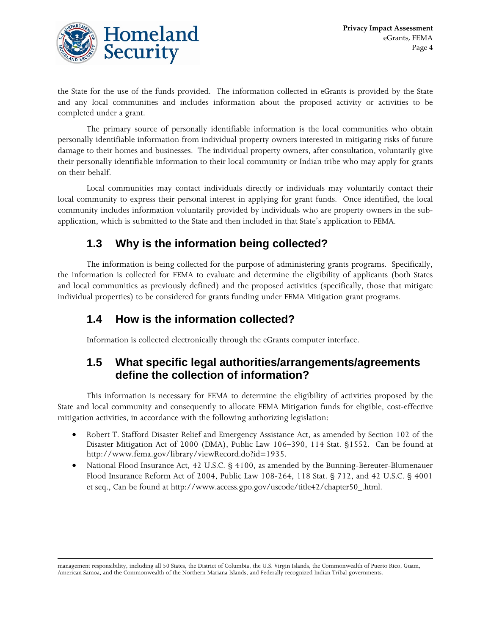

 $\overline{a}$ 

the State for the use of the funds provided. The information collected in eGrants is provided by the State and any local communities and includes information about the proposed activity or activities to be completed under a grant.

 The primary source of personally identifiable information is the local communities who obtain personally identifiable information from individual property owners interested in mitigating risks of future damage to their homes and businesses. The individual property owners, after consultation, voluntarily give their personally identifiable information to their local community or Indian tribe who may apply for grants on their behalf.

 Local communities may contact individuals directly or individuals may voluntarily contact their local community to express their personal interest in applying for grant funds. Once identified, the local community includes information voluntarily provided by individuals who are property owners in the subapplication, which is submitted to the State and then included in that State's application to FEMA.

## **1.3 Why is the information being collected?**

 The information is being collected for the purpose of administering grants programs. Specifically, the information is collected for FEMA to evaluate and determine the eligibility of applicants (both States and local communities as previously defined) and the proposed activities (specifically, those that mitigate individual properties) to be considered for grants funding under FEMA Mitigation grant programs.

### **1.4 How is the information collected?**

Information is collected electronically through the eGrants computer interface.

### **1.5 What specific legal authorities/arrangements/agreements define the collection of information?**

 This information is necessary for FEMA to determine the eligibility of activities proposed by the State and local community and consequently to allocate FEMA Mitigation funds for eligible, cost-effective mitigation activities, in accordance with the following authorizing legislation:

- Robert T. Stafford Disaster Relief and Emergency Assistance Act, as amended by Section 102 of the Disaster Mitigation Act of 2000 (DMA), Public Law 106–390, 114 Stat. §1552. Can be found at http://www.fema.gov/library/viewRecord.do?id=1935.
- National Flood Insurance Act, 42 U.S.C. § 4100, as amended by the Bunning-Bereuter-Blumenauer Flood Insurance Reform Act of 2004, Public Law 108-264, 118 Stat. § 712, and 42 U.S.C. § 4001 et seq., Can be found at http://www.access.gpo.gov/uscode/title42/chapter50\_.html.

management responsibility, including all 50 States, the District of Columbia, the U.S. Virgin Islands, the Commonwealth of Puerto Rico, Guam, American Samoa, and the Commonwealth of the Northern Mariana Islands, and Federally recognized Indian Tribal governments.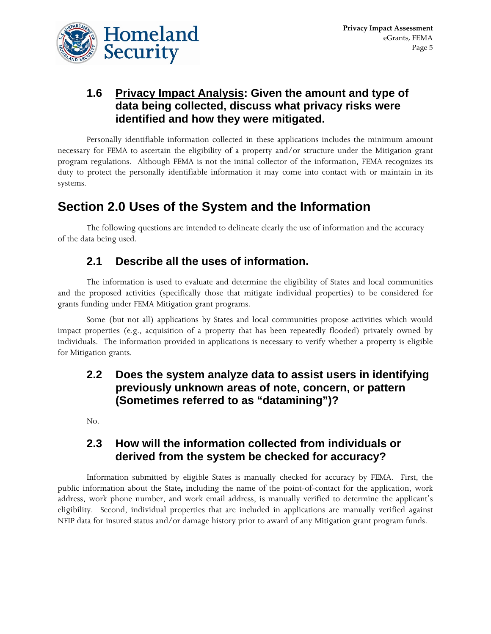

### **1.6 Privacy Impact Analysis: Given the amount and type of data being collected, discuss what privacy risks were identified and how they were mitigated.**

 Personally identifiable information collected in these applications includes the minimum amount necessary for FEMA to ascertain the eligibility of a property and/or structure under the Mitigation grant program regulations. Although FEMA is not the initial collector of the information, FEMA recognizes its duty to protect the personally identifiable information it may come into contact with or maintain in its systems.

## **Section 2.0 Uses of the System and the Information**

 The following questions are intended to delineate clearly the use of information and the accuracy of the data being used.

### **2.1 Describe all the uses of information.**

 The information is used to evaluate and determine the eligibility of States and local communities and the proposed activities (specifically those that mitigate individual properties) to be considered for grants funding under FEMA Mitigation grant programs.

 Some (but not all) applications by States and local communities propose activities which would impact properties (e.g., acquisition of a property that has been repeatedly flooded) privately owned by individuals. The information provided in applications is necessary to verify whether a property is eligible for Mitigation grants.

#### **2.2 Does the system analyze data to assist users in identifying previously unknown areas of note, concern, or pattern (Sometimes referred to as "datamining")?**

No.

### **2.3 How will the information collected from individuals or derived from the system be checked for accuracy?**

 Information submitted by eligible States is manually checked for accuracy by FEMA. First, the public information about the State**,** including the name of the point-of-contact for the application, work address, work phone number, and work email address, is manually verified to determine the applicant's eligibility. Second, individual properties that are included in applications are manually verified against NFIP data for insured status and/or damage history prior to award of any Mitigation grant program funds.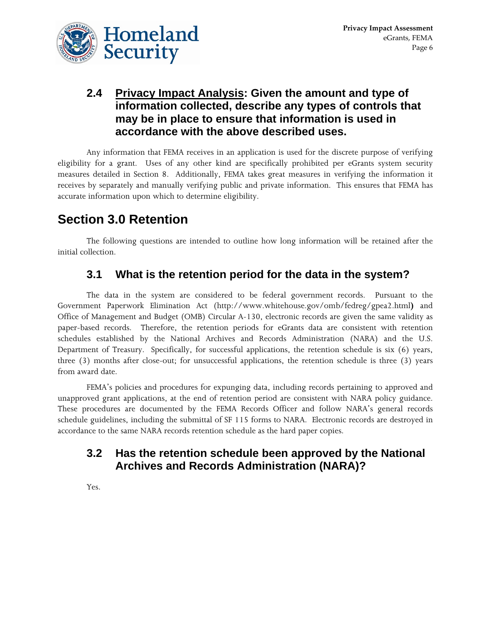

### **2.4 Privacy Impact Analysis: Given the amount and type of information collected, describe any types of controls that may be in place to ensure that information is used in accordance with the above described uses.**

 Any information that FEMA receives in an application is used for the discrete purpose of verifying eligibility for a grant. Uses of any other kind are specifically prohibited per eGrants system security measures detailed in Section 8. Additionally, FEMA takes great measures in verifying the information it receives by separately and manually verifying public and private information. This ensures that FEMA has accurate information upon which to determine eligibility.

## **Section 3.0 Retention**

 The following questions are intended to outline how long information will be retained after the initial collection.

### **3.1 What is the retention period for the data in the system?**

 The data in the system are considered to be federal government records. Pursuant to the Government Paperwork Elimination Act (http://www.whitehouse.gov/omb/fedreg/gpea2.html**)** and Office of Management and Budget (OMB) Circular A-130, electronic records are given the same validity as paper-based records. Therefore, the retention periods for eGrants data are consistent with retention schedules established by the National Archives and Records Administration (NARA) and the U.S. Department of Treasury. Specifically, for successful applications, the retention schedule is six (6) years, three (3) months after close-out; for unsuccessful applications, the retention schedule is three (3) years from award date.

 FEMA's policies and procedures for expunging data, including records pertaining to approved and unapproved grant applications, at the end of retention period are consistent with NARA policy guidance. These procedures are documented by the FEMA Records Officer and follow NARA's general records schedule guidelines, including the submittal of SF 115 forms to NARA. Electronic records are destroyed in accordance to the same NARA records retention schedule as the hard paper copies.

### **3.2 Has the retention schedule been approved by the National Archives and Records Administration (NARA)?**

Yes.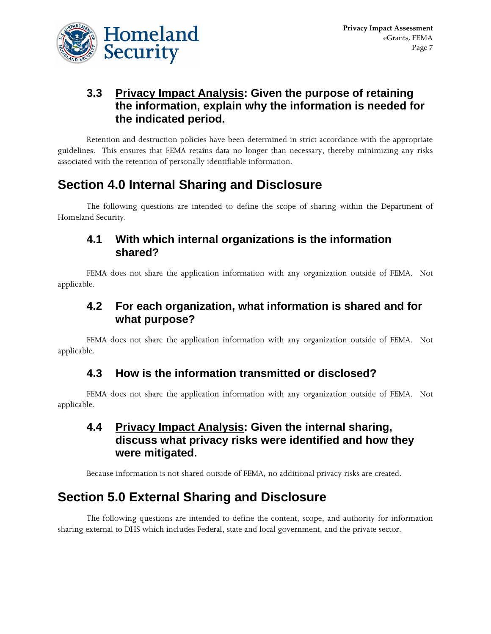

### **3.3 Privacy Impact Analysis: Given the purpose of retaining the information, explain why the information is needed for the indicated period.**

 Retention and destruction policies have been determined in strict accordance with the appropriate guidelines. This ensures that FEMA retains data no longer than necessary, thereby minimizing any risks associated with the retention of personally identifiable information.

## **Section 4.0 Internal Sharing and Disclosure**

 The following questions are intended to define the scope of sharing within the Department of Homeland Security.

#### **4.1 With which internal organizations is the information shared?**

 FEMA does not share the application information with any organization outside of FEMA. Not applicable.

#### **4.2 For each organization, what information is shared and for what purpose?**

 FEMA does not share the application information with any organization outside of FEMA. Not applicable.

#### **4.3 How is the information transmitted or disclosed?**

 FEMA does not share the application information with any organization outside of FEMA. Not applicable.

#### **4.4 Privacy Impact Analysis: Given the internal sharing, discuss what privacy risks were identified and how they were mitigated.**

Because information is not shared outside of FEMA, no additional privacy risks are created.

## **Section 5.0 External Sharing and Disclosure**

 The following questions are intended to define the content, scope, and authority for information sharing external to DHS which includes Federal, state and local government, and the private sector.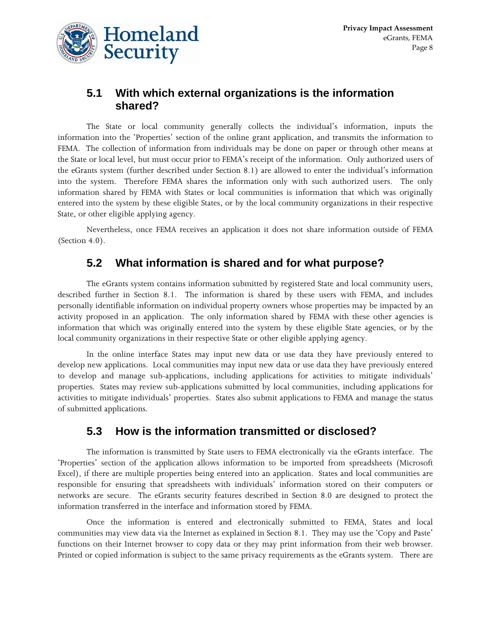

### **5.1 With which external organizations is the information shared?**

 The State or local community generally collects the individual's information, inputs the information into the 'Properties' section of the online grant application, and transmits the information to FEMA. The collection of information from individuals may be done on paper or through other means at the State or local level, but must occur prior to FEMA's receipt of the information. Only authorized users of the eGrants system (further described under Section 8.1) are allowed to enter the individual's information into the system. Therefore FEMA shares the information only with such authorized users. The only information shared by FEMA with States or local communities is information that which was originally entered into the system by these eligible States, or by the local community organizations in their respective State, or other eligible applying agency.

 Nevertheless, once FEMA receives an application it does not share information outside of FEMA (Section 4.0).

#### **5.2 What information is shared and for what purpose?**

 The eGrants system contains information submitted by registered State and local community users, described further in Section 8.1. The information is shared by these users with FEMA, and includes personally identifiable information on individual property owners whose properties may be impacted by an activity proposed in an application. The only information shared by FEMA with these other agencies is information that which was originally entered into the system by these eligible State agencies, or by the local community organizations in their respective State or other eligible applying agency.

 In the online interface States may input new data or use data they have previously entered to develop new applications. Local communities may input new data or use data they have previously entered to develop and manage sub-applications, including applications for activities to mitigate individuals' properties. States may review sub-applications submitted by local communities, including applications for activities to mitigate individuals' properties. States also submit applications to FEMA and manage the status of submitted applications.

#### **5.3 How is the information transmitted or disclosed?**

 The information is transmitted by State users to FEMA electronically via the eGrants interface. The 'Properties' section of the application allows information to be imported from spreadsheets (Microsoft Excel), if there are multiple properties being entered into an application. States and local communities are responsible for ensuring that spreadsheets with individuals' information stored on their computers or networks are secure. The eGrants security features described in Section 8.0 are designed to protect the information transferred in the interface and information stored by FEMA.

 Once the information is entered and electronically submitted to FEMA, States and local communities may view data via the Internet as explained in Section 8.1. They may use the 'Copy and Paste' functions on their Internet browser to copy data or they may print information from their web browser. Printed or copied information is subject to the same privacy requirements as the eGrants system. There are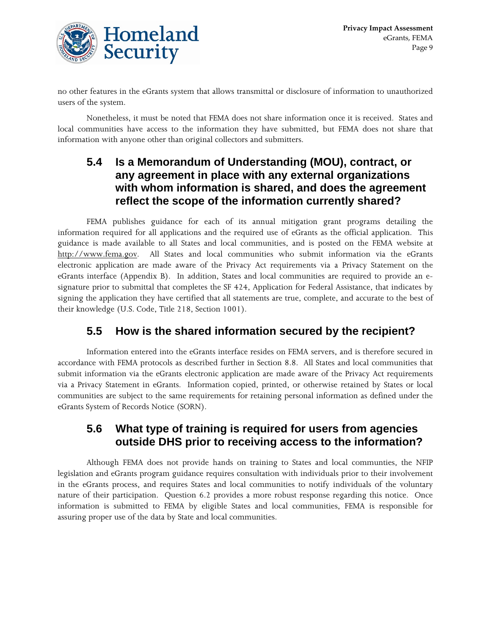

no other features in the eGrants system that allows transmittal or disclosure of information to unauthorized users of the system.

 Nonetheless, it must be noted that FEMA does not share information once it is received. States and local communities have access to the information they have submitted, but FEMA does not share that information with anyone other than original collectors and submitters.

### **5.4 Is a Memorandum of Understanding (MOU), contract, or any agreement in place with any external organizations with whom information is shared, and does the agreement reflect the scope of the information currently shared?**

 FEMA publishes guidance for each of its annual mitigation grant programs detailing the information required for all applications and the required use of eGrants as the official application. This guidance is made available to all States and local communities, and is posted on the FEMA website at [http://www.fema.gov](http://www.fema.gov/). All States and local communities who submit information via the eGrants electronic application are made aware of the Privacy Act requirements via a Privacy Statement on the eGrants interface (Appendix B). In addition, States and local communities are required to provide an esignature prior to submittal that completes the SF 424, Application for Federal Assistance, that indicates by signing the application they have certified that all statements are true, complete, and accurate to the best of their knowledge (U.S. Code, Title 218, Section 1001).

## **5.5 How is the shared information secured by the recipient?**

 Information entered into the eGrants interface resides on FEMA servers, and is therefore secured in accordance with FEMA protocols as described further in Section 8.8. All States and local communities that submit information via the eGrants electronic application are made aware of the Privacy Act requirements via a Privacy Statement in eGrants. Information copied, printed, or otherwise retained by States or local communities are subject to the same requirements for retaining personal information as defined under the eGrants System of Records Notice (SORN).

#### **5.6 What type of training is required for users from agencies outside DHS prior to receiving access to the information?**

 Although FEMA does not provide hands on training to States and local communties, the NFIP legislation and eGrants program guidance requires consultation with individuals prior to their involvement in the eGrants process, and requires States and local communities to notify individuals of the voluntary nature of their participation. Question 6.2 provides a more robust response regarding this notice. Once information is submitted to FEMA by eligible States and local communities, FEMA is responsible for assuring proper use of the data by State and local communities.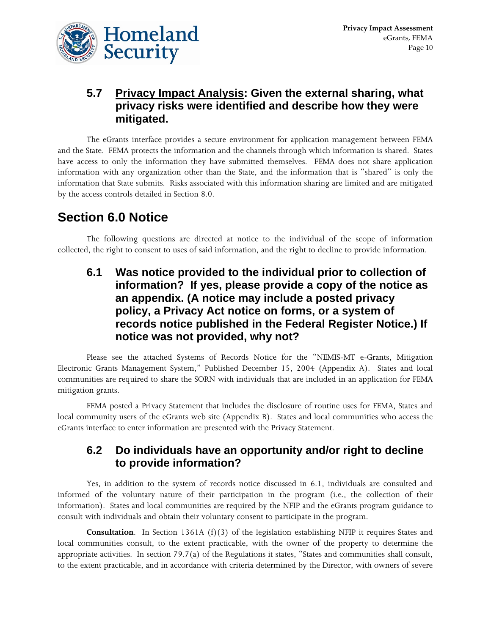

### **5.7 Privacy Impact Analysis: Given the external sharing, what privacy risks were identified and describe how they were mitigated.**

 The eGrants interface provides a secure environment for application management between FEMA and the State. FEMA protects the information and the channels through which information is shared. States have access to only the information they have submitted themselves. FEMA does not share application information with any organization other than the State, and the information that is "shared" is only the information that State submits. Risks associated with this information sharing are limited and are mitigated by the access controls detailed in Section 8.0.

## **Section 6.0 Notice**

 The following questions are directed at notice to the individual of the scope of information collected, the right to consent to uses of said information, and the right to decline to provide information.

**6.1 Was notice provided to the individual prior to collection of information? If yes, please provide a copy of the notice as an appendix. (A notice may include a posted privacy policy, a Privacy Act notice on forms, or a system of records notice published in the Federal Register Notice.) If notice was not provided, why not?** 

 Please see the attached Systems of Records Notice for the "NEMIS-MT e-Grants, Mitigation Electronic Grants Management System," Published December 15, 2004 (Appendix A). States and local communities are required to share the SORN with individuals that are included in an application for FEMA mitigation grants.

 FEMA posted a Privacy Statement that includes the disclosure of routine uses for FEMA, States and local community users of the eGrants web site (Appendix B). States and local communities who access the eGrants interface to enter information are presented with the Privacy Statement.

#### **6.2 Do individuals have an opportunity and/or right to decline to provide information?**

 Yes, in addition to the system of records notice discussed in 6.1, individuals are consulted and informed of the voluntary nature of their participation in the program (i.e., the collection of their information). States and local communities are required by the NFIP and the eGrants program guidance to consult with individuals and obtain their voluntary consent to participate in the program.

**Consultation**. In Section 1361A (f)(3) of the legislation establishing NFIP it requires States and local communities consult, to the extent practicable, with the owner of the property to determine the appropriate activities. In section 79.7(a) of the Regulations it states, "States and communities shall consult, to the extent practicable, and in accordance with criteria determined by the Director, with owners of severe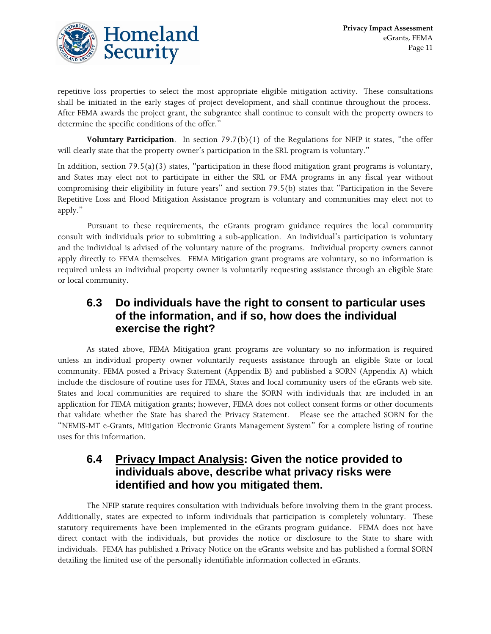

repetitive loss properties to select the most appropriate eligible mitigation activity. These consultations shall be initiated in the early stages of project development, and shall continue throughout the process. After FEMA awards the project grant, the subgrantee shall continue to consult with the property owners to determine the specific conditions of the offer."

**Voluntary Participation**. In section 79.7(b)(1) of the Regulations for NFIP it states, "the offer will clearly state that the property owner's participation in the SRL program is voluntary."

In addition, section 79.5(a)(3) states, "participation in these flood mitigation grant programs is voluntary, and States may elect not to participate in either the SRL or FMA programs in any fiscal year without compromising their eligibility in future years" and section 79.5(b) states that "Participation in the Severe Repetitive Loss and Flood Mitigation Assistance program is voluntary and communities may elect not to apply."

 Pursuant to these requirements, the eGrants program guidance requires the local community consult with individuals prior to submitting a sub-application. An individual's participation is voluntary and the individual is advised of the voluntary nature of the programs. Individual property owners cannot apply directly to FEMA themselves. FEMA Mitigation grant programs are voluntary, so no information is required unless an individual property owner is voluntarily requesting assistance through an eligible State or local community.

#### **6.3 Do individuals have the right to consent to particular uses of the information, and if so, how does the individual exercise the right?**

 As stated above, FEMA Mitigation grant programs are voluntary so no information is required unless an individual property owner voluntarily requests assistance through an eligible State or local community. FEMA posted a Privacy Statement (Appendix B) and published a SORN (Appendix A) which include the disclosure of routine uses for FEMA, States and local community users of the eGrants web site. States and local communities are required to share the SORN with individuals that are included in an application for FEMA mitigation grants; however, FEMA does not collect consent forms or other documents that validate whether the State has shared the Privacy Statement. Please see the attached SORN for the "NEMIS-MT e-Grants, Mitigation Electronic Grants Management System" for a complete listing of routine uses for this information.

#### **6.4 Privacy Impact Analysis: Given the notice provided to individuals above, describe what privacy risks were identified and how you mitigated them.**

 The NFIP statute requires consultation with individuals before involving them in the grant process. Additionally, states are expected to inform individuals that participation is completely voluntary. These statutory requirements have been implemented in the eGrants program guidance. FEMA does not have direct contact with the individuals, but provides the notice or disclosure to the State to share with individuals. FEMA has published a Privacy Notice on the eGrants website and has published a formal SORN detailing the limited use of the personally identifiable information collected in eGrants.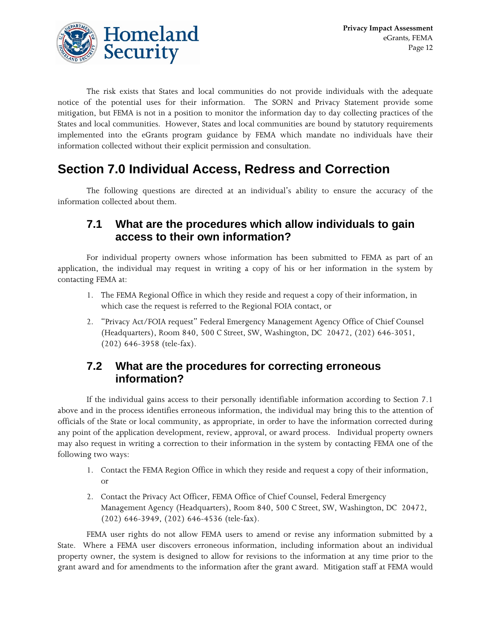

 The risk exists that States and local communities do not provide individuals with the adequate notice of the potential uses for their information. The SORN and Privacy Statement provide some mitigation, but FEMA is not in a position to monitor the information day to day collecting practices of the States and local communities. However, States and local communities are bound by statutory requirements implemented into the eGrants program guidance by FEMA which mandate no individuals have their information collected without their explicit permission and consultation.

## **Section 7.0 Individual Access, Redress and Correction**

 The following questions are directed at an individual's ability to ensure the accuracy of the information collected about them.

#### **7.1 What are the procedures which allow individuals to gain access to their own information?**

 For individual property owners whose information has been submitted to FEMA as part of an application, the individual may request in writing a copy of his or her information in the system by contacting FEMA at:

- 1. The FEMA Regional Office in which they reside and request a copy of their information, in which case the request is referred to the Regional FOIA contact, or
- 2. "Privacy Act/FOIA request" Federal Emergency Management Agency Office of Chief Counsel (Headquarters), Room 840, 500 C Street, SW, Washington, DC 20472, (202) 646-3051, (202) 646-3958 (tele-fax).

#### **7.2 What are the procedures for correcting erroneous information?**

 If the individual gains access to their personally identifiable information according to Section 7.1 above and in the process identifies erroneous information, the individual may bring this to the attention of officials of the State or local community, as appropriate, in order to have the information corrected during any point of the application development, review, approval, or award process. Individual property owners may also request in writing a correction to their information in the system by contacting FEMA one of the following two ways:

- 1. Contact the FEMA Region Office in which they reside and request a copy of their information, or
- 2. Contact the Privacy Act Officer, FEMA Office of Chief Counsel, Federal Emergency Management Agency (Headquarters), Room 840, 500 C Street, SW, Washington, DC 20472, (202) 646-3949, (202) 646-4536 (tele-fax).

 FEMA user rights do not allow FEMA users to amend or revise any information submitted by a State. Where a FEMA user discovers erroneous information, including information about an individual property owner, the system is designed to allow for revisions to the information at any time prior to the grant award and for amendments to the information after the grant award. Mitigation staff at FEMA would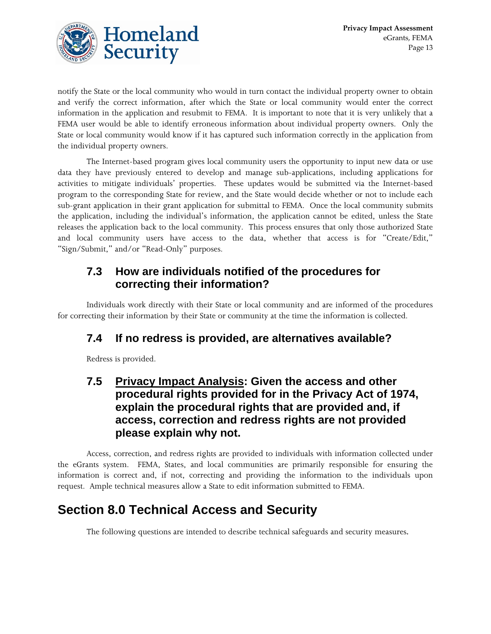

notify the State or the local community who would in turn contact the individual property owner to obtain and verify the correct information, after which the State or local community would enter the correct information in the application and resubmit to FEMA. It is important to note that it is very unlikely that a FEMA user would be able to identify erroneous information about individual property owners. Only the State or local community would know if it has captured such information correctly in the application from the individual property owners.

 The Internet-based program gives local community users the opportunity to input new data or use data they have previously entered to develop and manage sub-applications, including applications for activities to mitigate individuals' properties. These updates would be submitted via the Internet-based program to the corresponding State for review, and the State would decide whether or not to include each sub-grant application in their grant application for submittal to FEMA. Once the local community submits the application, including the individual's information, the application cannot be edited, unless the State releases the application back to the local community. This process ensures that only those authorized State and local community users have access to the data, whether that access is for "Create/Edit," "Sign/Submit," and/or "Read-Only" purposes.

### **7.3 How are individuals notified of the procedures for correcting their information?**

 Individuals work directly with their State or local community and are informed of the procedures for correcting their information by their State or community at the time the information is collected.

## **7.4 If no redress is provided, are alternatives available?**

Redress is provided.

#### **7.5 Privacy Impact Analysis: Given the access and other procedural rights provided for in the Privacy Act of 1974, explain the procedural rights that are provided and, if access, correction and redress rights are not provided please explain why not.**

 Access, correction, and redress rights are provided to individuals with information collected under the eGrants system. FEMA, States, and local communities are primarily responsible for ensuring the information is correct and, if not, correcting and providing the information to the individuals upon request. Ample technical measures allow a State to edit information submitted to FEMA.

## **Section 8.0 Technical Access and Security**

The following questions are intended to describe technical safeguards and security measures.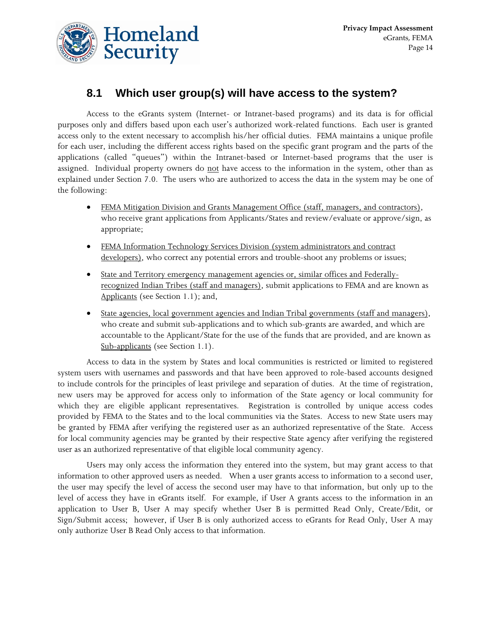

### **8.1 Which user group(s) will have access to the system?**

 Access to the eGrants system (Internet- or Intranet-based programs) and its data is for official purposes only and differs based upon each user's authorized work-related functions. Each user is granted access only to the extent necessary to accomplish his/her official duties. FEMA maintains a unique profile for each user, including the different access rights based on the specific grant program and the parts of the applications (called "queues") within the Intranet-based or Internet-based programs that the user is assigned. Individual property owners do not have access to the information in the system, other than as explained under Section 7.0. The users who are authorized to access the data in the system may be one of the following:

- FEMA Mitigation Division and Grants Management Office (staff, managers, and contractors), who receive grant applications from Applicants/States and review/evaluate or approve/sign, as appropriate;
- FEMA Information Technology Services Division (system administrators and contract developers), who correct any potential errors and trouble-shoot any problems or issues;
- State and Territory emergency management agencies or, similar offices and Federallyrecognized Indian Tribes (staff and managers), submit applications to FEMA and are known as Applicants (see Section 1.1); and,
- State agencies, local government agencies and Indian Tribal governments (staff and managers), who create and submit sub-applications and to which sub-grants are awarded, and which are accountable to the Applicant/State for the use of the funds that are provided, and are known as Sub-applicants (see Section 1.1).

 Access to data in the system by States and local communities is restricted or limited to registered system users with usernames and passwords and that have been approved to role-based accounts designed to include controls for the principles of least privilege and separation of duties. At the time of registration, new users may be approved for access only to information of the State agency or local community for which they are eligible applicant representatives. Registration is controlled by unique access codes provided by FEMA to the States and to the local communities via the States. Access to new State users may be granted by FEMA after verifying the registered user as an authorized representative of the State. Access for local community agencies may be granted by their respective State agency after verifying the registered user as an authorized representative of that eligible local community agency.

 Users may only access the information they entered into the system, but may grant access to that information to other approved users as needed. When a user grants access to information to a second user, the user may specify the level of access the second user may have to that information, but only up to the level of access they have in eGrants itself. For example, if User A grants access to the information in an application to User B, User A may specify whether User B is permitted Read Only, Create/Edit, or Sign/Submit access; however, if User B is only authorized access to eGrants for Read Only, User A may only authorize User B Read Only access to that information.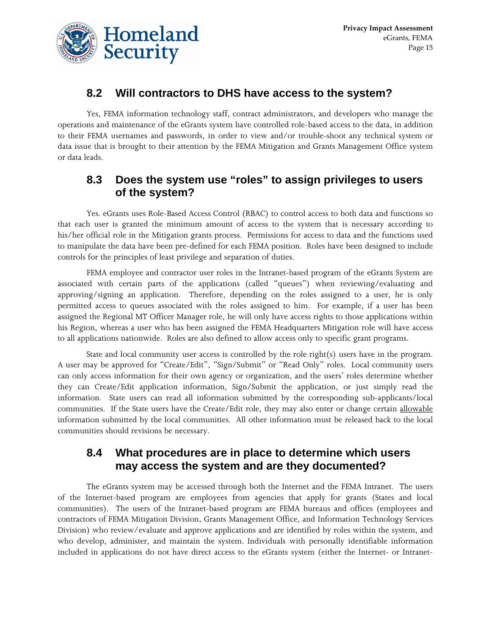

#### **8.2 Will contractors to DHS have access to the system?**

 Yes, FEMA information technology staff, contract administrators, and developers who manage the operations and maintenance of the eGrants system have controlled role-based access to the data, in addition to their FEMA usernames and passwords, in order to view and/or trouble-shoot any technical system or data issue that is brought to their attention by the FEMA Mitigation and Grants Management Office system or data leads.

#### **8.3 Does the system use "roles" to assign privileges to users of the system?**

 Yes. eGrants uses Role-Based Access Control (RBAC) to control access to both data and functions so that each user is granted the minimum amount of access to the system that is necessary according to his/her official role in the Mitigation grants process. Permissions for access to data and the functions used to manipulate the data have been pre-defined for each FEMA position. Roles have been designed to include controls for the principles of least privilege and separation of duties.

 FEMA employee and contractor user roles in the Intranet-based program of the eGrants System are associated with certain parts of the applications (called "queues") when reviewing/evaluating and approving/signing an application. Therefore, depending on the roles assigned to a user, he is only permitted access to queues associated with the roles assigned to him. For example, if a user has been assigned the Regional MT Officer Manager role, he will only have access rights to those applications within his Region, whereas a user who has been assigned the FEMA Headquarters Mitigation role will have access to all applications nationwide. Roles are also defined to allow access only to specific grant programs.

 State and local community user access is controlled by the role right(s) users have in the program. A user may be approved for "Create/Edit", "Sign/Submit" or "Read Only" roles. Local community users can only access information for their own agency or organization, and the users' roles determine whether they can Create/Edit application information, Sign/Submit the application, or just simply read the information. State users can read all information submitted by the corresponding sub-applicants/local communities. If the State users have the Create/Edit role, they may also enter or change certain allowable information submitted by the local communities. All other information must be released back to the local communities should revisions be necessary.

#### **8.4 What procedures are in place to determine which users may access the system and are they documented?**

 The eGrants system may be accessed through both the Internet and the FEMA Intranet. The users of the Internet-based program are employees from agencies that apply for grants (States and local communities). The users of the Intranet-based program are FEMA bureaus and offices (employees and contractors of FEMA Mitigation Division, Grants Management Office, and Information Technology Services Division) who review/evaluate and approve applications and are identified by roles within the system, and who develop, administer, and maintain the system. Individuals with personally identifiable information included in applications do not have direct access to the eGrants system (either the Internet- or Intranet-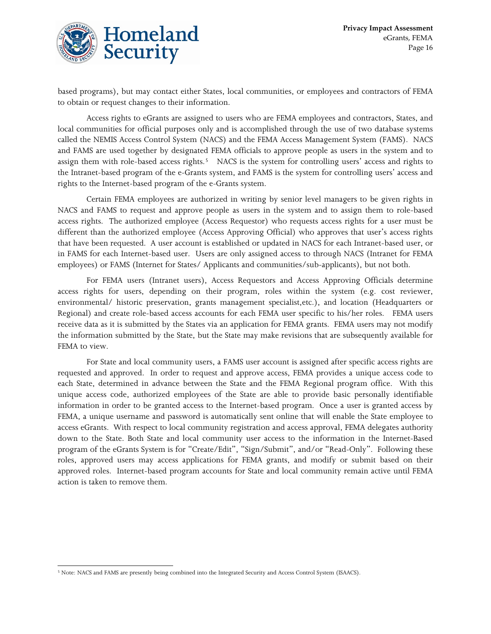

based programs), but may contact either States, local communities, or employees and contractors of FEMA to obtain or request changes to their information.

 Access rights to eGrants are assigned to users who are FEMA employees and contractors, States, and local communities for official purposes only and is accomplished through the use of two database systems called the NEMIS Access Control System (NACS) and the FEMA Access Management System (FAMS). NACS and FAMS are used together by designated FEMA officials to approve people as users in the system and to assign them with role-based access rights.<sup>[5](#page-15-0)</sup> NACS is the system for controlling users' access and rights to the Intranet-based program of the e-Grants system, and FAMS is the system for controlling users' access and rights to the Internet-based program of the e-Grants system.

 Certain FEMA employees are authorized in writing by senior level managers to be given rights in NACS and FAMS to request and approve people as users in the system and to assign them to role-based access rights. The authorized employee (Access Requestor) who requests access rights for a user must be different than the authorized employee (Access Approving Official) who approves that user's access rights that have been requested. A user account is established or updated in NACS for each Intranet-based user, or in FAMS for each Internet-based user. Users are only assigned access to through NACS (Intranet for FEMA employees) or FAMS (Internet for States/ Applicants and communities/sub-applicants), but not both.

 For FEMA users (Intranet users), Access Requestors and Access Approving Officials determine access rights for users, depending on their program, roles within the system (e.g. cost reviewer, environmental/ historic preservation, grants management specialist,etc.), and location (Headquarters or Regional) and create role-based access accounts for each FEMA user specific to his/her roles. FEMA users receive data as it is submitted by the States via an application for FEMA grants. FEMA users may not modify the information submitted by the State, but the State may make revisions that are subsequently available for FEMA to view.

 For State and local community users, a FAMS user account is assigned after specific access rights are requested and approved. In order to request and approve access, FEMA provides a unique access code to each State, determined in advance between the State and the FEMA Regional program office. With this unique access code, authorized employees of the State are able to provide basic personally identifiable information in order to be granted access to the Internet-based program. Once a user is granted access by FEMA, a unique username and password is automatically sent online that will enable the State employee to access eGrants. With respect to local community registration and access approval, FEMA delegates authority down to the State. Both State and local community user access to the information in the Internet-Based program of the eGrants System is for "Create/Edit", "Sign/Submit", and/or "Read-Only". Following these roles, approved users may access applications for FEMA grants, and modify or submit based on their approved roles. Internet-based program accounts for State and local community remain active until FEMA action is taken to remove them.

<span id="page-15-0"></span> $\overline{a}$ 5 Note: NACS and FAMS are presently being combined into the Integrated Security and Access Control System (ISAACS).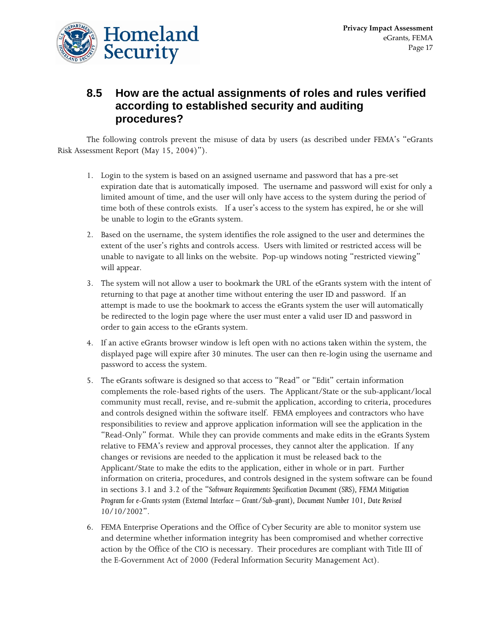

### **8.5 How are the actual assignments of roles and rules verified according to established security and auditing procedures?**

 The following controls prevent the misuse of data by users (as described under FEMA's "eGrants Risk Assessment Report (May 15, 2004)").

- 1. Login to the system is based on an assigned username and password that has a pre-set expiration date that is automatically imposed. The username and password will exist for only a limited amount of time, and the user will only have access to the system during the period of time both of these controls exists. If a user's access to the system has expired, he or she will be unable to login to the eGrants system.
- 2. Based on the username, the system identifies the role assigned to the user and determines the extent of the user's rights and controls access. Users with limited or restricted access will be unable to navigate to all links on the website. Pop-up windows noting "restricted viewing" will appear.
- 3. The system will not allow a user to bookmark the URL of the eGrants system with the intent of returning to that page at another time without entering the user ID and password. If an attempt is made to use the bookmark to access the eGrants system the user will automatically be redirected to the login page where the user must enter a valid user ID and password in order to gain access to the eGrants system.
- 4. If an active eGrants browser window is left open with no actions taken within the system, the displayed page will expire after 30 minutes. The user can then re-login using the username and password to access the system.
- 5. The eGrants software is designed so that access to "Read" or "Edit" certain information complements the role-based rights of the users. The Applicant/State or the sub-applicant/local community must recall, revise, and re-submit the application, according to criteria, procedures and controls designed within the software itself. FEMA employees and contractors who have responsibilities to review and approve application information will see the application in the "Read-Only" format. While they can provide comments and make edits in the eGrants System relative to FEMA's review and approval processes, they cannot alter the application. If any changes or revisions are needed to the application it must be released back to the Applicant/State to make the edits to the application, either in whole or in part. Further information on criteria, procedures, and controls designed in the system software can be found in sections 3.1 and 3.2 of the "*Software Requirements Specification Document (SRS), FEMA Mitigation Program for e-Grants system (External Interface – Grant/Sub-grant), Document Number 101, Date Revised 10/10/2002*".
- 6. FEMA Enterprise Operations and the Office of Cyber Security are able to monitor system use and determine whether information integrity has been compromised and whether corrective action by the Office of the CIO is necessary. Their procedures are compliant with Title III of the E-Government Act of 2000 (Federal Information Security Management Act).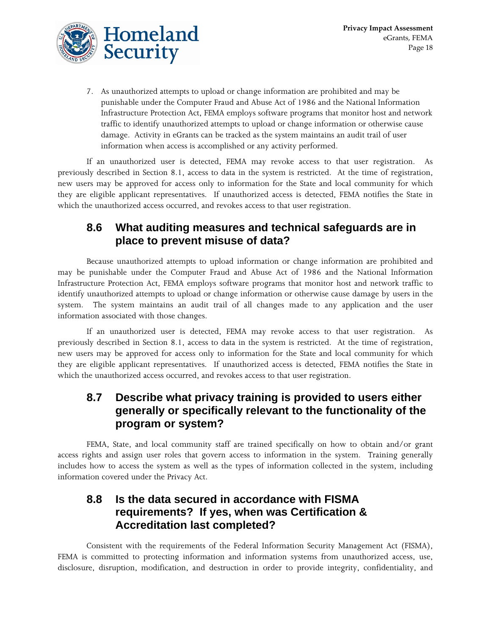7. As unauthorized attempts to upload or change information are prohibited and may be punishable under the Computer Fraud and Abuse Act of 1986 and the National Information Infrastructure Protection Act, FEMA employs software programs that monitor host and network traffic to identify unauthorized attempts to upload or change information or otherwise cause damage. Activity in eGrants can be tracked as the system maintains an audit trail of user information when access is accomplished or any activity performed.

 If an unauthorized user is detected, FEMA may revoke access to that user registration. As previously described in Section 8.1, access to data in the system is restricted. At the time of registration, new users may be approved for access only to information for the State and local community for which they are eligible applicant representatives. If unauthorized access is detected, FEMA notifies the State in which the unauthorized access occurred, and revokes access to that user registration.

### **8.6 What auditing measures and technical safeguards are in place to prevent misuse of data?**

 Because unauthorized attempts to upload information or change information are prohibited and may be punishable under the Computer Fraud and Abuse Act of 1986 and the National Information Infrastructure Protection Act, FEMA employs software programs that monitor host and network traffic to identify unauthorized attempts to upload or change information or otherwise cause damage by users in the system. The system maintains an audit trail of all changes made to any application and the user information associated with those changes.

 If an unauthorized user is detected, FEMA may revoke access to that user registration. As previously described in Section 8.1, access to data in the system is restricted. At the time of registration, new users may be approved for access only to information for the State and local community for which they are eligible applicant representatives. If unauthorized access is detected, FEMA notifies the State in which the unauthorized access occurred, and revokes access to that user registration.

#### **8.7 Describe what privacy training is provided to users either generally or specifically relevant to the functionality of the program or system?**

 FEMA, State, and local community staff are trained specifically on how to obtain and/or grant access rights and assign user roles that govern access to information in the system. Training generally includes how to access the system as well as the types of information collected in the system, including information covered under the Privacy Act.

#### **8.8 Is the data secured in accordance with FISMA requirements? If yes, when was Certification & Accreditation last completed?**

 Consistent with the requirements of the Federal Information Security Management Act (FISMA), FEMA is committed to protecting information and information systems from unauthorized access, use, disclosure, disruption, modification, and destruction in order to provide integrity, confidentiality, and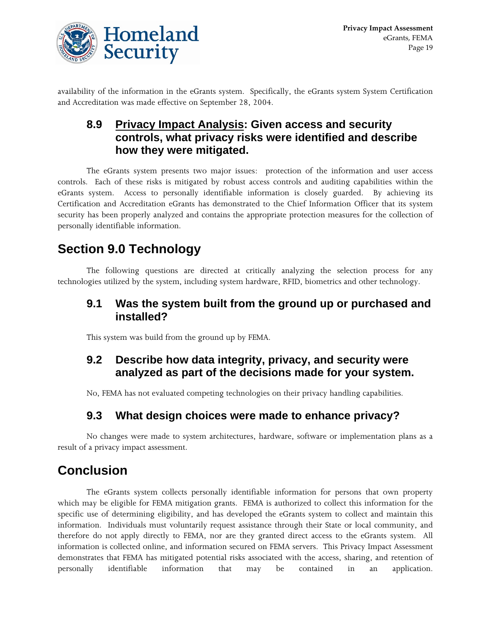

availability of the information in the eGrants system. Specifically, the eGrants system System Certification and Accreditation was made effective on September 28, 2004.

### **8.9 Privacy Impact Analysis: Given access and security controls, what privacy risks were identified and describe how they were mitigated.**

 The eGrants system presents two major issues: protection of the information and user access controls. Each of these risks is mitigated by robust access controls and auditing capabilities within the eGrants system. Access to personally identifiable information is closely guarded. By achieving its Certification and Accreditation eGrants has demonstrated to the Chief Information Officer that its system security has been properly analyzed and contains the appropriate protection measures for the collection of personally identifiable information.

## **Section 9.0 Technology**

 The following questions are directed at critically analyzing the selection process for any technologies utilized by the system, including system hardware, RFID, biometrics and other technology.

#### **9.1 Was the system built from the ground up or purchased and installed?**

This system was build from the ground up by FEMA.

#### **9.2 Describe how data integrity, privacy, and security were analyzed as part of the decisions made for your system.**

No, FEMA has not evaluated competing technologies on their privacy handling capabilities.

#### **9.3 What design choices were made to enhance privacy?**

 No changes were made to system architectures, hardware, software or implementation plans as a result of a privacy impact assessment.

## **Conclusion**

 The eGrants system collects personally identifiable information for persons that own property which may be eligible for FEMA mitigation grants. FEMA is authorized to collect this information for the specific use of determining eligibility, and has developed the eGrants system to collect and maintain this information. Individuals must voluntarily request assistance through their State or local community, and therefore do not apply directly to FEMA, nor are they granted direct access to the eGrants system. All information is collected online, and information secured on FEMA servers. This Privacy Impact Assessment demonstrates that FEMA has mitigated potential risks associated with the access, sharing, and retention of personally identifiable information that may be contained in an application.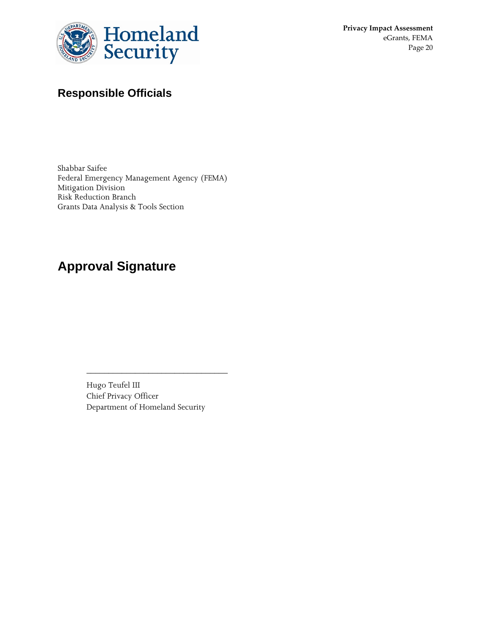

**Privacy Impact Assessment** eGrants, FEMA Page 20

## **Responsible Officials**

Shabbar Saifee Federal Emergency Management Agency (FEMA) Mitigation Division Risk Reduction Branch Grants Data Analysis & Tools Section

## **Approval Signature**

Hugo Teufel III Chief Privacy Officer Department of Homeland Security

\_\_\_\_\_\_\_\_\_\_\_\_\_\_\_\_\_\_\_\_\_\_\_\_\_\_\_\_\_\_\_\_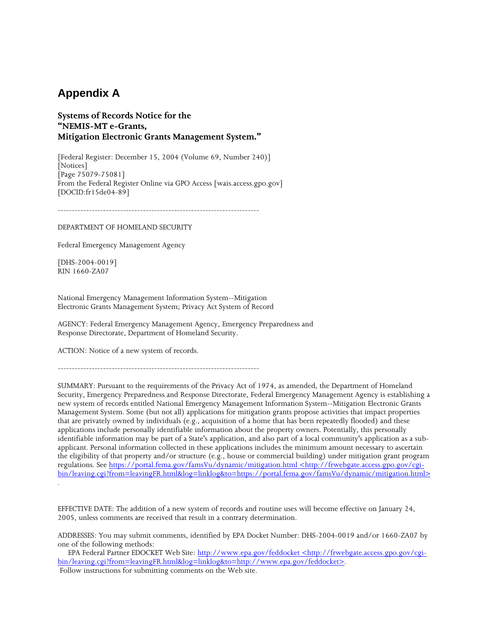#### **Appendix A**

#### **Systems of Records Notice for the "NEMIS-MT e-Grants, Mitigation Electronic Grants Management System."**

[Federal Register: December 15, 2004 (Volume 69, Number 240)] [Notices] [Page 75079-75081] From the Federal Register Online via GPO Access [wais.access.gpo.gov] [DOCID:fr15de04-89]

-----------------------------------------------------------------------

DEPARTMENT OF HOMELAND SECURITY

Federal Emergency Management Agency

[DHS-2004-0019] RIN 1660-ZA07

National Emergency Management Information System--Mitigation Electronic Grants Management System; Privacy Act System of Record

AGENCY: Federal Emergency Management Agency, Emergency Preparedness and Response Directorate, Department of Homeland Security.

ACTION: Notice of a new system of records.

-----------------------------------------------------------------------

SUMMARY: Pursuant to the requirements of the Privacy Act of 1974, as amended, the Department of Homeland Security, Emergency Preparedness and Response Directorate, Federal Emergency Management Agency is establishing a new system of records entitled National Emergency Management Information System--Mitigation Electronic Grants Management System. Some (but not all) applications for mitigation grants propose activities that impact properties that are privately owned by individuals (e.g., acquisition of a home that has been repeatedly flooded) and these applications include personally identifiable information about the property owners. Potentially, this personally identifiable information may be part of a State's application, and also part of a local community's application as a subapplicant. Personal information collected in these applications includes the minimum amount necessary to ascertain the eligibility of that property and/or structure (e.g., house or commercial building) under mitigation grant program regulations. See https://portal.fema.gov/famsVu/dynamic/mitigation.html <http://frwebgate.access.gpo.gov/cgibin/leaving.cgi?from=leavingFR.html&log=linklog&to=https://portal.fema.gov/famsVu/dynamic/mitigation.html> .

EFFECTIVE DATE: The addition of a new system of records and routine uses will become effective on January 24, 2005, unless comments are received that result in a contrary determination.

ADDRESSES: You may submit comments, identified by EPA Docket Number: DHS-2004-0019 and/or 1660-ZA07 by one of the following methods:

EPA Federal Partner EDOCKET Web Site: http://www.epa.gov/feddocket <http://frwebgate.access.gpo.gov/cgibin/leaving.cgi?from=leavingFR.html&log=linklog&to=http://www.epa.gov/feddocket>. Follow instructions for submitting comments on the Web site.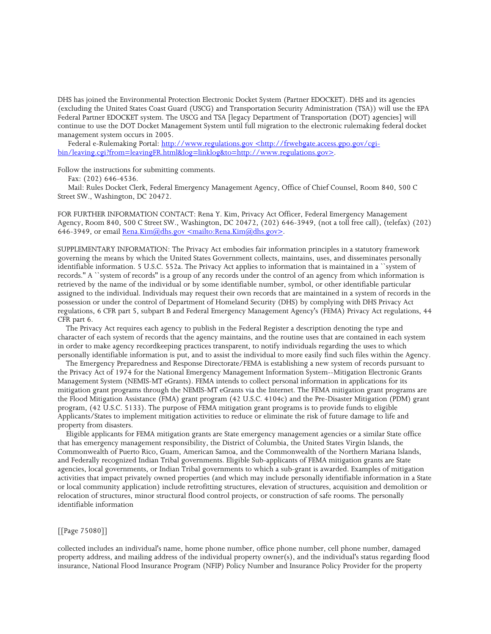DHS has joined the Environmental Protection Electronic Docket System (Partner EDOCKET). DHS and its agencies (excluding the United States Coast Guard (USCG) and Transportation Security Administration (TSA)) will use the EPA Federal Partner EDOCKET system. The USCG and TSA [legacy Department of Transportation (DOT) agencies] will continue to use the DOT Docket Management System until full migration to the electronic rulemaking federal docket management system occurs in 2005.

Federal e-Rulemaking Portal: http://www.regulations.gov <http://frwebgate.access.gpo.gov/cgibin/leaving.cgi?from=leavingFR.html&log=linklog&to=http://www.regulations.gov>.

Follow the instructions for submitting comments.

Fax: (202) 646-4536.

 Mail: Rules Docket Clerk, Federal Emergency Management Agency, Office of Chief Counsel, Room 840, 500 C Street SW., Washington, DC 20472.

FOR FURTHER INFORMATION CONTACT: Rena Y. Kim, Privacy Act Officer, Federal Emergency Management Agency, Room 840, 500 C Street SW., Washington, DC 20472, (202) 646-3949, (not a toll free call), (telefax) (202) 646-3949, or email Rena.Kim@dhs.gov <mailto:Rena.Kim@dhs.gov>.

SUPPLEMENTARY INFORMATION: The Privacy Act embodies fair information principles in a statutory framework governing the means by which the United States Government collects, maintains, uses, and disseminates personally identifiable information. 5 U.S.C. 552a. The Privacy Act applies to information that is maintained in a ``system of records.'' A ``system of records'' is a group of any records under the control of an agency from which information is retrieved by the name of the individual or by some identifiable number, symbol, or other identifiable particular assigned to the individual. Individuals may request their own records that are maintained in a system of records in the possession or under the control of Department of Homeland Security (DHS) by complying with DHS Privacy Act regulations, 6 CFR part 5, subpart B and Federal Emergency Management Agency's (FEMA) Privacy Act regulations, 44 CFR part 6.

 The Privacy Act requires each agency to publish in the Federal Register a description denoting the type and character of each system of records that the agency maintains, and the routine uses that are contained in each system in order to make agency recordkeeping practices transparent, to notify individuals regarding the uses to which personally identifiable information is put, and to assist the individual to more easily find such files within the Agency.

 The Emergency Preparedness and Response Directorate/FEMA is establishing a new system of records pursuant to the Privacy Act of 1974 for the National Emergency Management Information System--Mitigation Electronic Grants Management System (NEMIS-MT eGrants). FEMA intends to collect personal information in applications for its mitigation grant programs through the NEMIS-MT eGrants via the Internet. The FEMA mitigation grant programs are the Flood Mitigation Assistance (FMA) grant program (42 U.S.C. 4104c) and the Pre-Disaster Mitigation (PDM) grant program, (42 U.S.C. 5133). The purpose of FEMA mitigation grant programs is to provide funds to eligible Applicants/States to implement mitigation activities to reduce or eliminate the risk of future damage to life and property from disasters.

 Eligible applicants for FEMA mitigation grants are State emergency management agencies or a similar State office that has emergency management responsibility, the District of Columbia, the United States Virgin Islands, the Commonwealth of Puerto Rico, Guam, American Samoa, and the Commonwealth of the Northern Mariana Islands, and Federally recognized Indian Tribal governments. Eligible Sub-applicants of FEMA mitigation grants are State agencies, local governments, or Indian Tribal governments to which a sub-grant is awarded. Examples of mitigation activities that impact privately owned properties (and which may include personally identifiable information in a State or local community application) include retrofitting structures, elevation of structures, acquisition and demolition or relocation of structures, minor structural flood control projects, or construction of safe rooms. The personally identifiable information

#### [[Page 75080]]

collected includes an individual's name, home phone number, office phone number, cell phone number, damaged property address, and mailing address of the individual property owner(s), and the individual's status regarding flood insurance, National Flood Insurance Program (NFIP) Policy Number and Insurance Policy Provider for the property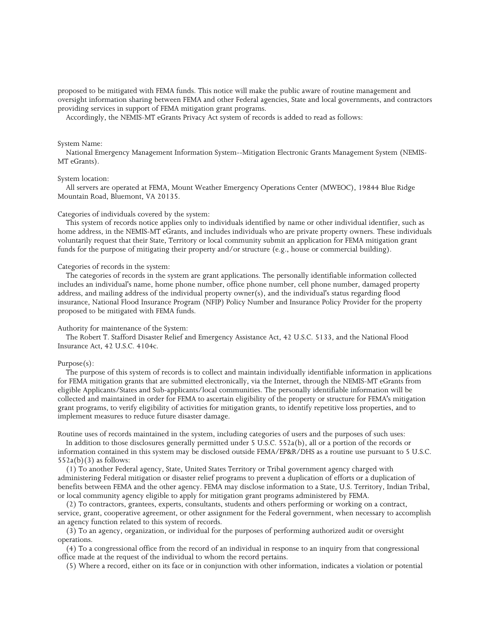proposed to be mitigated with FEMA funds. This notice will make the public aware of routine management and oversight information sharing between FEMA and other Federal agencies, State and local governments, and contractors providing services in support of FEMA mitigation grant programs.

Accordingly, the NEMIS-MT eGrants Privacy Act system of records is added to read as follows:

#### System Name:

 National Emergency Management Information System--Mitigation Electronic Grants Management System (NEMIS-MT eGrants).

#### System location:

 All servers are operated at FEMA, Mount Weather Emergency Operations Center (MWEOC), 19844 Blue Ridge Mountain Road, Bluemont, VA 20135.

#### Categories of individuals covered by the system:

 This system of records notice applies only to individuals identified by name or other individual identifier, such as home address, in the NEMIS-MT eGrants, and includes individuals who are private property owners. These individuals voluntarily request that their State, Territory or local community submit an application for FEMA mitigation grant funds for the purpose of mitigating their property and/or structure (e.g., house or commercial building).

#### Categories of records in the system:

 The categories of records in the system are grant applications. The personally identifiable information collected includes an individual's name, home phone number, office phone number, cell phone number, damaged property address, and mailing address of the individual property owner(s), and the individual's status regarding flood insurance, National Flood Insurance Program (NFIP) Policy Number and Insurance Policy Provider for the property proposed to be mitigated with FEMA funds.

#### Authority for maintenance of the System:

 The Robert T. Stafford Disaster Relief and Emergency Assistance Act, 42 U.S.C. 5133, and the National Flood Insurance Act, 42 U.S.C. 4104c.

#### Purpose(s):

 The purpose of this system of records is to collect and maintain individually identifiable information in applications for FEMA mitigation grants that are submitted electronically, via the Internet, through the NEMIS-MT eGrants from eligible Applicants/States and Sub-applicants/local communities. The personally identifiable information will be collected and maintained in order for FEMA to ascertain eligibility of the property or structure for FEMA's mitigation grant programs, to verify eligibility of activities for mitigation grants, to identify repetitive loss properties, and to implement measures to reduce future disaster damage.

Routine uses of records maintained in the system, including categories of users and the purposes of such uses:

 In addition to those disclosures generally permitted under 5 U.S.C. 552a(b), all or a portion of the records or information contained in this system may be disclosed outside FEMA/EP&R/DHS as a routine use pursuant to 5 U.S.C.  $552a(b)(3)$  as follows:

 (1) To another Federal agency, State, United States Territory or Tribal government agency charged with administering Federal mitigation or disaster relief programs to prevent a duplication of efforts or a duplication of benefits between FEMA and the other agency. FEMA may disclose information to a State, U.S. Territory, Indian Tribal, or local community agency eligible to apply for mitigation grant programs administered by FEMA.

 (2) To contractors, grantees, experts, consultants, students and others performing or working on a contract, service, grant, cooperative agreement, or other assignment for the Federal government, when necessary to accomplish an agency function related to this system of records.

 (3) To an agency, organization, or individual for the purposes of performing authorized audit or oversight operations.

 (4) To a congressional office from the record of an individual in response to an inquiry from that congressional office made at the request of the individual to whom the record pertains.

(5) Where a record, either on its face or in conjunction with other information, indicates a violation or potential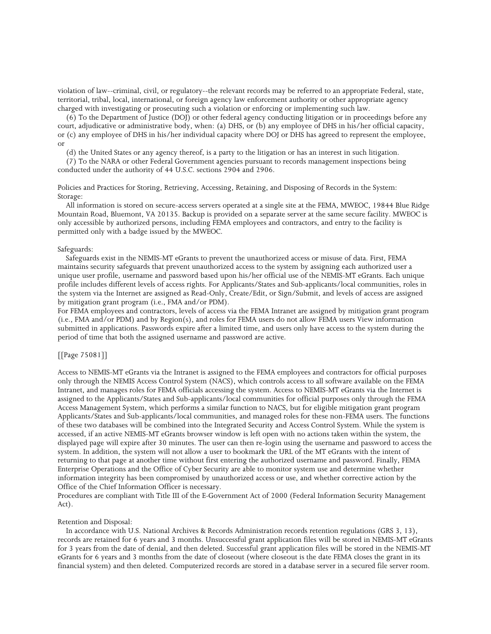violation of law--criminal, civil, or regulatory--the relevant records may be referred to an appropriate Federal, state, territorial, tribal, local, international, or foreign agency law enforcement authority or other appropriate agency charged with investigating or prosecuting such a violation or enforcing or implementing such law.

 (6) To the Department of Justice (DOJ) or other federal agency conducting litigation or in proceedings before any court, adjudicative or administrative body, when: (a) DHS, or (b) any employee of DHS in his/her official capacity, or (c) any employee of DHS in his/her individual capacity where DOJ or DHS has agreed to represent the employee, or

(d) the United States or any agency thereof, is a party to the litigation or has an interest in such litigation.

 (7) To the NARA or other Federal Government agencies pursuant to records management inspections being conducted under the authority of 44 U.S.C. sections 2904 and 2906.

Policies and Practices for Storing, Retrieving, Accessing, Retaining, and Disposing of Records in the System: Storage:

 All information is stored on secure-access servers operated at a single site at the FEMA, MWEOC, 19844 Blue Ridge Mountain Road, Bluemont, VA 20135. Backup is provided on a separate server at the same secure facility. MWEOC is only accessible by authorized persons, including FEMA employees and contractors, and entry to the facility is permitted only with a badge issued by the MWEOC.

#### Safeguards:

 Safeguards exist in the NEMIS-MT eGrants to prevent the unauthorized access or misuse of data. First, FEMA maintains security safeguards that prevent unauthorized access to the system by assigning each authorized user a unique user profile, username and password based upon his/her official use of the NEMIS-MT eGrants. Each unique profile includes different levels of access rights. For Applicants/States and Sub-applicants/local communities, roles in the system via the Internet are assigned as Read-Only, Create/Edit, or Sign/Submit, and levels of access are assigned by mitigation grant program (i.e., FMA and/or PDM).

For FEMA employees and contractors, levels of access via the FEMA Intranet are assigned by mitigation grant program (i.e., FMA and/or PDM) and by Region(s), and roles for FEMA users do not allow FEMA users View information submitted in applications. Passwords expire after a limited time, and users only have access to the system during the period of time that both the assigned username and password are active.

#### [[Page 75081]]

Access to NEMIS-MT eGrants via the Intranet is assigned to the FEMA employees and contractors for official purposes only through the NEMIS Access Control System (NACS), which controls access to all software available on the FEMA Intranet, and manages roles for FEMA officials accessing the system. Access to NEMIS-MT eGrants via the Internet is assigned to the Applicants/States and Sub-applicants/local communities for official purposes only through the FEMA Access Management System, which performs a similar function to NACS, but for eligible mitigation grant program Applicants/States and Sub-applicants/local communities, and managed roles for these non-FEMA users. The functions of these two databases will be combined into the Integrated Security and Access Control System. While the system is accessed, if an active NEMIS-MT eGrants browser window is left open with no actions taken within the system, the displayed page will expire after 30 minutes. The user can then re-login using the username and password to access the system. In addition, the system will not allow a user to bookmark the URL of the MT eGrants with the intent of returning to that page at another time without first entering the authorized username and password. Finally, FEMA Enterprise Operations and the Office of Cyber Security are able to monitor system use and determine whether information integrity has been compromised by unauthorized access or use, and whether corrective action by the Office of the Chief Information Officer is necessary.

Procedures are compliant with Title III of the E-Government Act of 2000 (Federal Information Security Management Act).

#### Retention and Disposal:

 In accordance with U.S. National Archives & Records Administration records retention regulations (GRS 3, 13), records are retained for 6 years and 3 months. Unsuccessful grant application files will be stored in NEMIS-MT eGrants for 3 years from the date of denial, and then deleted. Successful grant application files will be stored in the NEMIS-MT eGrants for 6 years and 3 months from the date of closeout (where closeout is the date FEMA closes the grant in its financial system) and then deleted. Computerized records are stored in a database server in a secured file server room.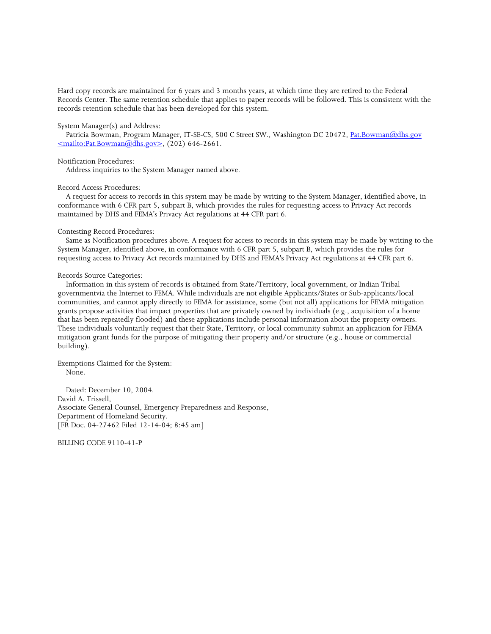Hard copy records are maintained for 6 years and 3 months years, at which time they are retired to the Federal Records Center. The same retention schedule that applies to paper records will be followed. This is consistent with the records retention schedule that has been developed for this system.

#### System Manager(s) and Address:

Patricia Bowman, Program Manager, IT-SE-CS, 500 C Street SW., Washington DC 20472, Pat.Bowman@dhs.gov  $\langle \text{mailto:Pat.Bowman@dhs.gov}\rangle$ , (202) 646-2661.

#### Notification Procedures:

Address inquiries to the System Manager named above.

#### Record Access Procedures:

 A request for access to records in this system may be made by writing to the System Manager, identified above, in conformance with 6 CFR part 5, subpart B, which provides the rules for requesting access to Privacy Act records maintained by DHS and FEMA's Privacy Act regulations at 44 CFR part 6.

#### Contesting Record Procedures:

 Same as Notification procedures above. A request for access to records in this system may be made by writing to the System Manager, identified above, in conformance with 6 CFR part 5, subpart B, which provides the rules for requesting access to Privacy Act records maintained by DHS and FEMA's Privacy Act regulations at 44 CFR part 6.

#### Records Source Categories:

 Information in this system of records is obtained from State/Territory, local government, or Indian Tribal governmentvia the Internet to FEMA. While individuals are not eligible Applicants/States or Sub-applicants/local communities, and cannot apply directly to FEMA for assistance, some (but not all) applications for FEMA mitigation grants propose activities that impact properties that are privately owned by individuals (e.g., acquisition of a home that has been repeatedly flooded) and these applications include personal information about the property owners. These individuals voluntarily request that their State, Territory, or local community submit an application for FEMA mitigation grant funds for the purpose of mitigating their property and/or structure (e.g., house or commercial building).

Exemptions Claimed for the System: None.

 Dated: December 10, 2004. David A. Trissell, Associate General Counsel, Emergency Preparedness and Response, Department of Homeland Security. [FR Doc. 04-27462 Filed 12-14-04; 8:45 am]

BILLING CODE 9110-41-P